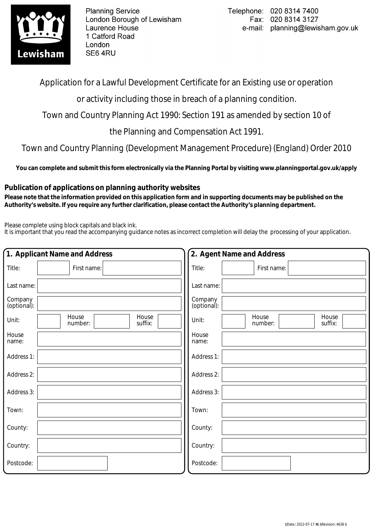

**Planning Service** London Borough of Lewisham Laurence House 1 Catford Road London SE64RU

Application for a Lawful Development Certificate for an Existing use or operation

or activity including those in breach of a planning condition.

Town and Country Planning Act 1990: Section 191 as amended by section 10 of

the Planning and Compensation Act 1991.

Town and Country Planning (Development Management Procedure) (England) Order 2010

**You can complete and submit this form electronically via the Planning Portal by visiting www.planningportal.gov.uk/apply**

## **Publication of applications on planning authority websites**

 **Please note that the information provided on this application form and in supporting documents may be published on the Authority's website. If you require any further clarification, please contact the Authority's planning department.**

Please complete using block capitals and black ink.

It is important that you read the accompanying guidance notes as incorrect completion will delay the processing of your application.

|                        | 1. Applicant Name and Address        | 2. Agent Name and Address                     |  |  |  |  |  |  |
|------------------------|--------------------------------------|-----------------------------------------------|--|--|--|--|--|--|
| Title:                 | First name:                          | Title:<br>First name:                         |  |  |  |  |  |  |
| Last name:             |                                      | Last name:                                    |  |  |  |  |  |  |
| Company<br>(optional): |                                      | Company<br>(optional):                        |  |  |  |  |  |  |
| Unit:                  | House<br>House<br>suffix:<br>number: | House<br>House<br>Unit:<br>number:<br>suffix: |  |  |  |  |  |  |
| House<br>name:         |                                      | House<br>name:                                |  |  |  |  |  |  |
| Address 1:             |                                      | Address 1:                                    |  |  |  |  |  |  |
| Address 2:             |                                      | Address 2:                                    |  |  |  |  |  |  |
| Address 3:             |                                      | Address 3:                                    |  |  |  |  |  |  |
| Town:                  |                                      | Town:                                         |  |  |  |  |  |  |
| County:                |                                      | County:                                       |  |  |  |  |  |  |
| Country:               |                                      | Country:                                      |  |  |  |  |  |  |
| Postcode:              |                                      | Postcode:                                     |  |  |  |  |  |  |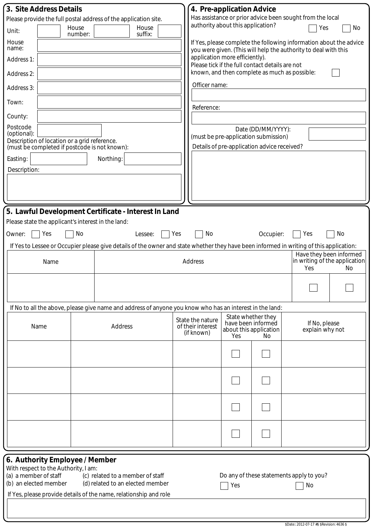| 3. Site Address Details<br>Please provide the full postal address of the application site.<br>House<br>Unit:<br>number:<br>House<br>name:<br>Address 1:<br>Address 2:<br>Address 3:<br>Town:<br>County:<br>Postcode<br>(optional):<br>Description of location or a grid reference.<br>(must be completed if postcode is not known):<br>Easting:<br>Description: | House<br>suffix:<br>Northing:                                        | 4. Pre-application Advice<br>authority about this application?<br>application more efficiently).<br>Officer name:<br>Reference:                                                                                  |                                                                           | Please tick if the full contact details are not<br>known, and then complete as much as possible:<br>Date (DD/MM/YYYY):<br>(must be pre-application submission)<br>Details of pre-application advice received? | Has assistance or prior advice been sought from the local<br>Yes<br>No<br>If Yes, please complete the following information about the advice<br>you were given. (This will help the authority to deal with this |  |  |
|-----------------------------------------------------------------------------------------------------------------------------------------------------------------------------------------------------------------------------------------------------------------------------------------------------------------------------------------------------------------|----------------------------------------------------------------------|------------------------------------------------------------------------------------------------------------------------------------------------------------------------------------------------------------------|---------------------------------------------------------------------------|---------------------------------------------------------------------------------------------------------------------------------------------------------------------------------------------------------------|-----------------------------------------------------------------------------------------------------------------------------------------------------------------------------------------------------------------|--|--|
|                                                                                                                                                                                                                                                                                                                                                                 |                                                                      |                                                                                                                                                                                                                  |                                                                           |                                                                                                                                                                                                               |                                                                                                                                                                                                                 |  |  |
| 5. Lawful Development Certificate - Interest In Land<br>Please state the applicant's interest in the land:<br>Yes<br>No<br>Owner:                                                                                                                                                                                                                               | Lessee:                                                              | No<br>Yes                                                                                                                                                                                                        |                                                                           | Occupier:                                                                                                                                                                                                     | Yes<br>No                                                                                                                                                                                                       |  |  |
| Name                                                                                                                                                                                                                                                                                                                                                            | Address                                                              | If Yes to Lessee or Occupier please give details of the owner and state whether they have been informed in writing of this application:<br>Have they been informed<br>in writing of the application<br>Yes<br>No |                                                                           |                                                                                                                                                                                                               |                                                                                                                                                                                                                 |  |  |
|                                                                                                                                                                                                                                                                                                                                                                 |                                                                      |                                                                                                                                                                                                                  |                                                                           |                                                                                                                                                                                                               |                                                                                                                                                                                                                 |  |  |
| If No to all the above, please give name and address of anyone you know who has an interest in the land:                                                                                                                                                                                                                                                        |                                                                      |                                                                                                                                                                                                                  |                                                                           |                                                                                                                                                                                                               |                                                                                                                                                                                                                 |  |  |
| Name                                                                                                                                                                                                                                                                                                                                                            | State the nature<br>of their interest<br>(if known)                  | Yes                                                                                                                                                                                                              | State whether they<br>have been informed<br>about this application<br>No. | If No, please<br>explain why not                                                                                                                                                                              |                                                                                                                                                                                                                 |  |  |
|                                                                                                                                                                                                                                                                                                                                                                 |                                                                      |                                                                                                                                                                                                                  |                                                                           |                                                                                                                                                                                                               |                                                                                                                                                                                                                 |  |  |
|                                                                                                                                                                                                                                                                                                                                                                 |                                                                      |                                                                                                                                                                                                                  |                                                                           |                                                                                                                                                                                                               |                                                                                                                                                                                                                 |  |  |
|                                                                                                                                                                                                                                                                                                                                                                 |                                                                      |                                                                                                                                                                                                                  |                                                                           |                                                                                                                                                                                                               |                                                                                                                                                                                                                 |  |  |
|                                                                                                                                                                                                                                                                                                                                                                 |                                                                      |                                                                                                                                                                                                                  |                                                                           |                                                                                                                                                                                                               |                                                                                                                                                                                                                 |  |  |
| 6. Authority Employee / Member<br>With respect to the Authority, I am:<br>(a) a member of staff<br>(b) an elected member<br>If Yes, please provide details of the name, relationship and role                                                                                                                                                                   | (c) related to a member of staff<br>(d) related to an elected member |                                                                                                                                                                                                                  | Yes                                                                       |                                                                                                                                                                                                               | Do any of these statements apply to you?<br>No                                                                                                                                                                  |  |  |

\$Date:: 2012-07-17 #\$ \$Revision: 4636 \$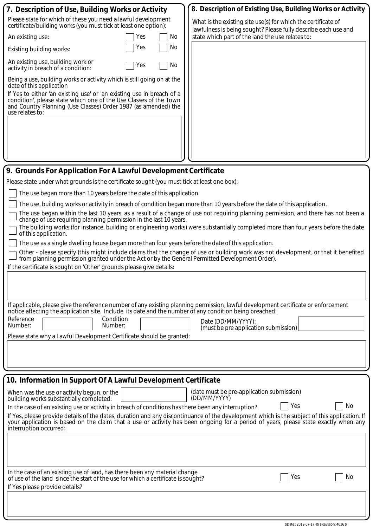| 7. Description of Use, Building Works or Activity                                                                                                                                                                                                                       | 8. Description of Existing Use, Building Works or Activity                                                                                                                                                                                                                          |  |  |  |  |  |  |  |
|-------------------------------------------------------------------------------------------------------------------------------------------------------------------------------------------------------------------------------------------------------------------------|-------------------------------------------------------------------------------------------------------------------------------------------------------------------------------------------------------------------------------------------------------------------------------------|--|--|--|--|--|--|--|
| Please state for which of these you need a lawful development<br>certificate/building works (you must tick at least one option):                                                                                                                                        | What is the existing site use(s) for which the certificate of                                                                                                                                                                                                                       |  |  |  |  |  |  |  |
| No.<br>An existing use:<br>Yes                                                                                                                                                                                                                                          | lawfulness is being sought? Please fully describe each use and<br>state which part of the land the use relates to:                                                                                                                                                                  |  |  |  |  |  |  |  |
| No<br>Yes<br>Existing building works:                                                                                                                                                                                                                                   |                                                                                                                                                                                                                                                                                     |  |  |  |  |  |  |  |
| An existing use, building work or<br>No<br>Yes<br>activity in breach of a condition:                                                                                                                                                                                    |                                                                                                                                                                                                                                                                                     |  |  |  |  |  |  |  |
| Being a use, building works or activity which is still going on at the<br>date of this application                                                                                                                                                                      |                                                                                                                                                                                                                                                                                     |  |  |  |  |  |  |  |
| If Yes to either 'an existing use' or 'an existing use in breach of a<br>condition', please state which one of the Use Classes of the Town<br>and Country Planning (Use Classes) Order 1987 (as amended) the<br>use relates to:                                         |                                                                                                                                                                                                                                                                                     |  |  |  |  |  |  |  |
|                                                                                                                                                                                                                                                                         |                                                                                                                                                                                                                                                                                     |  |  |  |  |  |  |  |
|                                                                                                                                                                                                                                                                         |                                                                                                                                                                                                                                                                                     |  |  |  |  |  |  |  |
| 9. Grounds For Application For A Lawful Development Certificate                                                                                                                                                                                                         |                                                                                                                                                                                                                                                                                     |  |  |  |  |  |  |  |
| Please state under what grounds is the certificate sought (you must tick at least one box):                                                                                                                                                                             |                                                                                                                                                                                                                                                                                     |  |  |  |  |  |  |  |
| The use began more than 10 years before the date of this application.                                                                                                                                                                                                   |                                                                                                                                                                                                                                                                                     |  |  |  |  |  |  |  |
| The use, building works or activity in breach of condition began more than 10 years before the date of this application.                                                                                                                                                |                                                                                                                                                                                                                                                                                     |  |  |  |  |  |  |  |
| The use began within the last 10 years, as a result of a change of use not requiring planning permission, and there has not been a<br>change of use requiring planning permission in the last 10 years.                                                                 |                                                                                                                                                                                                                                                                                     |  |  |  |  |  |  |  |
| The building works (for instance, building or engineering works) were substantially completed more than four years before the date<br>of this application.                                                                                                              |                                                                                                                                                                                                                                                                                     |  |  |  |  |  |  |  |
| The use as a single dwelling house began more than four years before the date of this application.                                                                                                                                                                      |                                                                                                                                                                                                                                                                                     |  |  |  |  |  |  |  |
| from planning permission granted under the Act or by the General Permitted Development Order).                                                                                                                                                                          | Other - please specify (this might include claims that the change of use or building work was not development, or that it benefited                                                                                                                                                 |  |  |  |  |  |  |  |
| If the certificate is sought on 'Other' grounds please give details:                                                                                                                                                                                                    |                                                                                                                                                                                                                                                                                     |  |  |  |  |  |  |  |
|                                                                                                                                                                                                                                                                         |                                                                                                                                                                                                                                                                                     |  |  |  |  |  |  |  |
|                                                                                                                                                                                                                                                                         |                                                                                                                                                                                                                                                                                     |  |  |  |  |  |  |  |
| If applicable, please give the reference number of any existing planning permission, lawful development certificate or enforcement<br>notice affecting the application site. Include its date and the number of any condition being breached:<br>Condition<br>Reference |                                                                                                                                                                                                                                                                                     |  |  |  |  |  |  |  |
| Number:<br>Number:                                                                                                                                                                                                                                                      | Date (DD/MM/YYYY):<br>(must be pre application submission)                                                                                                                                                                                                                          |  |  |  |  |  |  |  |
| Please state why a Lawful Development Certificate should be granted:                                                                                                                                                                                                    |                                                                                                                                                                                                                                                                                     |  |  |  |  |  |  |  |
|                                                                                                                                                                                                                                                                         |                                                                                                                                                                                                                                                                                     |  |  |  |  |  |  |  |
|                                                                                                                                                                                                                                                                         |                                                                                                                                                                                                                                                                                     |  |  |  |  |  |  |  |
| 10. Information In Support Of A Lawful Development Certificate                                                                                                                                                                                                          |                                                                                                                                                                                                                                                                                     |  |  |  |  |  |  |  |
| When was the use or activity begun, or the<br>(date must be pre-application submission)<br>(DD/MM/YYYY)<br>building works substantially completed:                                                                                                                      |                                                                                                                                                                                                                                                                                     |  |  |  |  |  |  |  |
| No<br>Yes<br>In the case of an existing use or activity in breach of conditions has there been any interruption?                                                                                                                                                        |                                                                                                                                                                                                                                                                                     |  |  |  |  |  |  |  |
| interruption occurred:                                                                                                                                                                                                                                                  | If Yes, please provide details of the dates, duration and any discontinuance of the development which is the subject of this application. If<br>your application is based on the claim that a use or activity has been ongoing for a period of years, please state exactly when any |  |  |  |  |  |  |  |
|                                                                                                                                                                                                                                                                         |                                                                                                                                                                                                                                                                                     |  |  |  |  |  |  |  |
|                                                                                                                                                                                                                                                                         |                                                                                                                                                                                                                                                                                     |  |  |  |  |  |  |  |

In the case of an existing use of land, has there been any material change  $\Box$  . Wes North a certificate is sought? Wes North a certificate is sought? If Yes please provide details?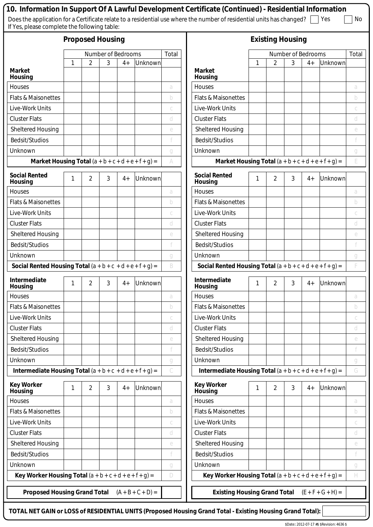| If Yes, please complete the following table:                |                    |                         |       |      |                     |              | 10. Information In Support Of A Lawful Development Certificate (Continued) - Residential Information<br>Does the application for a Certificate relate to a residential use where the number of residential units has changed? |                         |                |       |      | Yes     | No                     |
|-------------------------------------------------------------|--------------------|-------------------------|-------|------|---------------------|--------------|-------------------------------------------------------------------------------------------------------------------------------------------------------------------------------------------------------------------------------|-------------------------|----------------|-------|------|---------|------------------------|
|                                                             |                    | <b>Proposed Housing</b> |       |      |                     |              |                                                                                                                                                                                                                               | <b>Existing Housing</b> |                |       |      |         |                        |
|                                                             | Number of Bedrooms |                         | Total |      | Number of Bedrooms  |              |                                                                                                                                                                                                                               |                         |                | Total |      |         |                        |
|                                                             | 1                  | 2                       | 3     | $4+$ | Unknown             |              |                                                                                                                                                                                                                               | 1                       | 2              | 3     | $4+$ | Unknown |                        |
| <b>Market</b><br><b>Housing</b>                             |                    |                         |       |      |                     |              | <b>Market</b><br>Housing                                                                                                                                                                                                      |                         |                |       |      |         |                        |
| Houses                                                      |                    |                         |       |      |                     | a            | Houses                                                                                                                                                                                                                        |                         |                |       |      |         | a                      |
| <b>Flats &amp; Maisonettes</b>                              |                    |                         |       |      |                     | b            | <b>Flats &amp; Maisonettes</b>                                                                                                                                                                                                |                         |                |       |      |         | b                      |
| Live-Work Units                                             |                    |                         |       |      |                     | $\cal C$     | Live-Work Units                                                                                                                                                                                                               |                         |                |       |      |         | С                      |
| <b>Cluster Flats</b>                                        |                    |                         |       |      |                     | d            | <b>Cluster Flats</b>                                                                                                                                                                                                          |                         |                |       |      |         | d                      |
| <b>Sheltered Housing</b>                                    |                    |                         |       |      |                     | e            | Sheltered Housing                                                                                                                                                                                                             |                         |                |       |      |         | $\mathop{\mathcal{C}}$ |
| <b>Bedsit/Studios</b>                                       |                    |                         |       |      |                     |              | <b>Bedsit/Studios</b>                                                                                                                                                                                                         |                         |                |       |      |         | f                      |
| Unknown                                                     |                    |                         |       |      |                     | g            | Unknown                                                                                                                                                                                                                       |                         |                |       |      |         | $\mathcal G$           |
| Market Housing Total $(a + b + c + d + e + f + g) =$        |                    |                         |       |      |                     | A            | Market Housing Total $(a + b + c + d + e + f + g) =$                                                                                                                                                                          |                         |                |       |      |         | E                      |
| <b>Social Rented</b><br><b>Housing</b>                      | 1                  | 2                       | 3     | $4+$ | Unknown             |              | <b>Social Rented</b><br>Housing                                                                                                                                                                                               | 1                       | 2              | 3     | $4+$ | Unknown |                        |
| Houses                                                      |                    |                         |       |      |                     | a            | Houses                                                                                                                                                                                                                        |                         |                |       |      |         | a                      |
| <b>Flats &amp; Maisonettes</b>                              |                    |                         |       |      |                     | b            | <b>Flats &amp; Maisonettes</b>                                                                                                                                                                                                |                         |                |       |      |         | b                      |
| Live-Work Units                                             |                    |                         |       |      |                     | С            | Live-Work Units                                                                                                                                                                                                               |                         |                |       |      |         | $\cal C$               |
| <b>Cluster Flats</b>                                        |                    |                         |       |      |                     | d            | <b>Cluster Flats</b>                                                                                                                                                                                                          |                         |                |       |      |         | d                      |
| Sheltered Housing                                           |                    |                         |       |      |                     | $\mathcal C$ | <b>Sheltered Housing</b>                                                                                                                                                                                                      |                         |                |       |      |         | e                      |
| Bedsit/Studios                                              |                    |                         |       |      |                     |              | <b>Bedsit/Studios</b>                                                                                                                                                                                                         |                         |                |       |      |         | f                      |
| Unknown                                                     |                    |                         |       |      |                     | g            | Unknown                                                                                                                                                                                                                       |                         |                |       |      |         | $\mathcal G$           |
| Social Rented Housing Total $(a + b + c + d + e + f + g) =$ |                    |                         |       |      |                     | B            | Social Rented Housing Total $(a + b + c + d + e + f + g) =$                                                                                                                                                                   |                         |                |       |      |         | F                      |
| Intermediate<br><b>Housing</b>                              |                    | $\overline{2}$          | 3     | $4+$ | Unknown             |              | Intermediate<br>Housing                                                                                                                                                                                                       |                         | $\overline{2}$ | 3     | $4+$ | Unknown |                        |
| Houses                                                      |                    |                         |       |      |                     | a            | Houses                                                                                                                                                                                                                        |                         |                |       |      |         | a                      |
| <b>Flats &amp; Maisonettes</b>                              |                    |                         |       |      |                     | b            | Flats & Maisonettes                                                                                                                                                                                                           |                         |                |       |      |         | b                      |
| Live-Work Units                                             |                    |                         |       |      |                     | С            | Live-Work Units                                                                                                                                                                                                               |                         |                |       |      |         | С                      |
| <b>Cluster Flats</b>                                        |                    |                         |       |      |                     | d            | <b>Cluster Flats</b>                                                                                                                                                                                                          |                         |                |       |      |         | d                      |
| <b>Sheltered Housing</b>                                    |                    |                         |       |      |                     | $\mathcal C$ | <b>Sheltered Housing</b>                                                                                                                                                                                                      |                         |                |       |      |         | e                      |
| Bedsit/Studios                                              |                    |                         |       |      |                     |              | Bedsit/Studios                                                                                                                                                                                                                |                         |                |       |      |         | f                      |
| Unknown                                                     |                    |                         |       |      |                     | g            | Unknown                                                                                                                                                                                                                       |                         |                |       |      |         | $\mathcal G$           |
| Intermediate Housing Total $(a + b + c + d + e + f + g) =$  |                    |                         |       |      |                     | C            | Intermediate Housing Total $(a + b + c + d + e + f + g) =$                                                                                                                                                                    |                         |                |       |      |         | G                      |
| <b>Key Worker</b><br>Housing                                | 1                  | $\overline{2}$          | 3     | $4+$ | <b>Unknown</b>      |              | <b>Key Worker</b><br>Housing                                                                                                                                                                                                  | 1                       | $\overline{2}$ | 3     | $4+$ | Unknown |                        |
| Houses                                                      |                    |                         |       |      |                     | a            | Houses                                                                                                                                                                                                                        |                         |                |       |      |         | a                      |
| <b>Flats &amp; Maisonettes</b>                              |                    |                         |       |      |                     | b            | <b>Flats &amp; Maisonettes</b>                                                                                                                                                                                                |                         |                |       |      |         | b                      |
| Live-Work Units                                             |                    |                         |       |      |                     | $\mathcal C$ | Live-Work Units                                                                                                                                                                                                               |                         |                |       |      |         | $\cal C$               |
| <b>Cluster Flats</b>                                        |                    |                         |       |      |                     | d            | <b>Cluster Flats</b>                                                                                                                                                                                                          |                         |                |       |      |         | d                      |
| Sheltered Housing                                           |                    |                         |       |      |                     | $\mathcal C$ | <b>Sheltered Housing</b>                                                                                                                                                                                                      |                         |                |       |      |         | e                      |
| Bedsit/Studios                                              |                    |                         |       |      |                     |              | Bedsit/Studios                                                                                                                                                                                                                |                         |                |       |      |         |                        |
| Unknown                                                     |                    |                         |       |      |                     | g            | Unknown                                                                                                                                                                                                                       |                         |                |       |      |         | $\mathcal G$           |
| Key Worker Housing Total $(a + b + c + d + e + f + g) =$    |                    |                         |       |      |                     | D            | Key Worker Housing Total $(a + b + c + d + e + f + g) =$                                                                                                                                                                      |                         |                |       |      |         | H                      |
| <b>Proposed Housing Grand Total</b>                         |                    |                         |       |      | $(A + B + C + D) =$ |              | Existing Housing Grand Total $(E + F + G + H) =$                                                                                                                                                                              |                         |                |       |      |         |                        |

**TOTAL NET GAIN or LOSS of RESIDENTIAL UNITS (Proposed Housing Grand Total - Existing Housing Grand Total):**